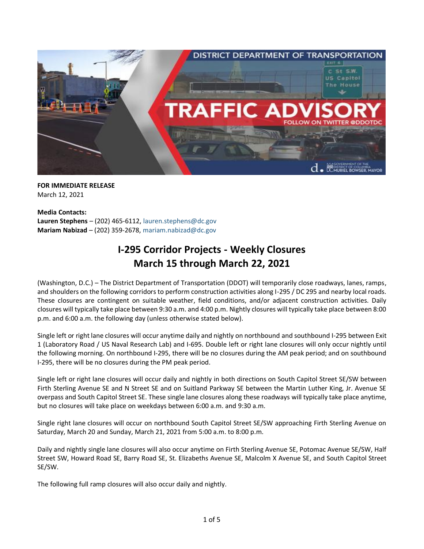

**FOR IMMEDIATE RELEASE** March 12, 2021

**Media Contacts: Lauren Stephens** – (202) 465-6112, [lauren.stephens@dc.gov](mailto:lauren.stephens@dc.gov) **Mariam Nabizad** – (202) 359-2678, [mariam.nabizad@dc.gov](mailto:mariam.nabizad@dc.gov)

## **I-295 Corridor Projects - Weekly Closures March 15 through March 22, 2021**

(Washington, D.C.) – The District Department of Transportation (DDOT) will temporarily close roadways, lanes, ramps, and shoulders on the following corridors to perform construction activities along I-295 / DC 295 and nearby local roads. These closures are contingent on suitable weather, field conditions, and/or adjacent construction activities. Daily closures will typically take place between 9:30 a.m. and 4:00 p.m. Nightly closures will typically take place between 8:00 p.m. and 6:00 a.m. the following day (unless otherwise stated below).

Single left or right lane closures will occur anytime daily and nightly on northbound and southbound I-295 between Exit 1 (Laboratory Road / US Naval Research Lab) and I-695. Double left or right lane closures will only occur nightly until the following morning. On northbound I-295, there will be no closures during the AM peak period; and on southbound I-295, there will be no closures during the PM peak period.

Single left or right lane closures will occur daily and nightly in both directions on South Capitol Street SE/SW between Firth Sterling Avenue SE and N Street SE and on Suitland Parkway SE between the Martin Luther King, Jr. Avenue SE overpass and South Capitol Street SE. These single lane closures along these roadways will typically take place anytime, but no closures will take place on weekdays between 6:00 a.m. and 9:30 a.m.

Single right lane closures will occur on northbound South Capitol Street SE/SW approaching Firth Sterling Avenue on Saturday, March 20 and Sunday, March 21, 2021 from 5:00 a.m. to 8:00 p.m.

Daily and nightly single lane closures will also occur anytime on Firth Sterling Avenue SE, Potomac Avenue SE/SW, Half Street SW, Howard Road SE, Barry Road SE, St. Elizabeths Avenue SE, Malcolm X Avenue SE, and South Capitol Street SE/SW.

The following full ramp closures will also occur daily and nightly.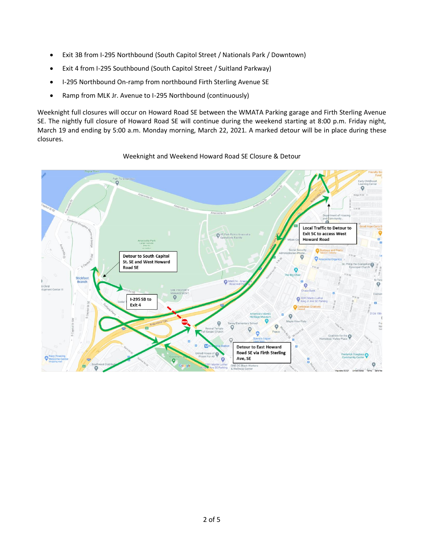- Exit 3B from I-295 Northbound (South Capitol Street / Nationals Park / Downtown)
- Exit 4 from I-295 Southbound (South Capitol Street / Suitland Parkway)
- I-295 Northbound On-ramp from northbound Firth Sterling Avenue SE
- Ramp from MLK Jr. Avenue to I-295 Northbound (continuously)

Weeknight full closures will occur on Howard Road SE between the WMATA Parking garage and Firth Sterling Avenue SE. The nightly full closure of Howard Road SE will continue during the weekend starting at 8:00 p.m. Friday night, March 19 and ending by 5:00 a.m. Monday morning, March 22, 2021. A marked detour will be in place during these closures.



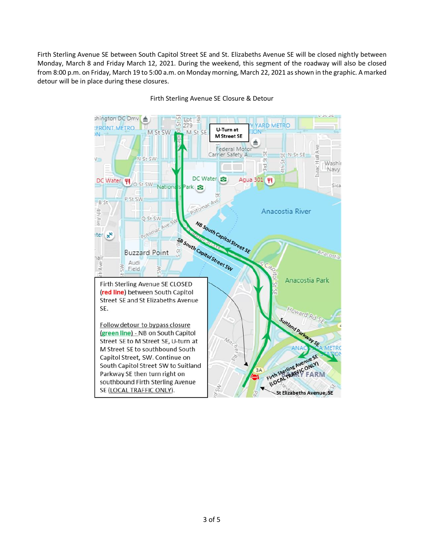Firth Sterling Avenue SE between South Capitol Street SE and St. Elizabeths Avenue SE will be closed nightly between Monday, March 8 and Friday March 12, 2021. During the weekend, this segment of the roadway will also be closed from 8:00 p.m. on Friday, March 19 to 5:00 a.m. on Monday morning, March 22, 2021 as shown in the graphic. A marked detour will be in place during these closures.



Firth Sterling Avenue SE Closure & Detour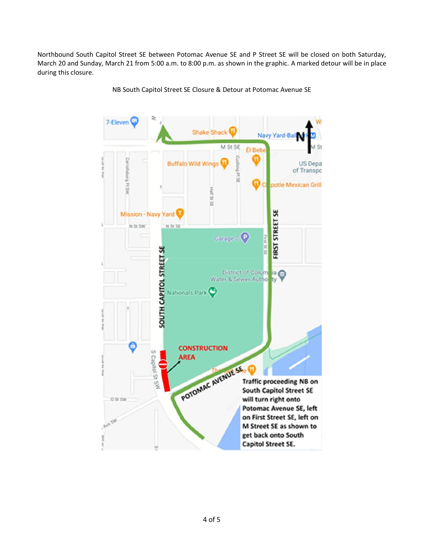Northbound South Capitol Street SE between Potomac Avenue SE and P Street SE will be closed on both Saturday, March 20 and Sunday, March 21 from 5:00 a.m. to 8:00 p.m. as shown in the graphic. A marked detour will be in place during this closure.



NB South Capitol Street SE Closure & Detour at Potomac Avenue SE